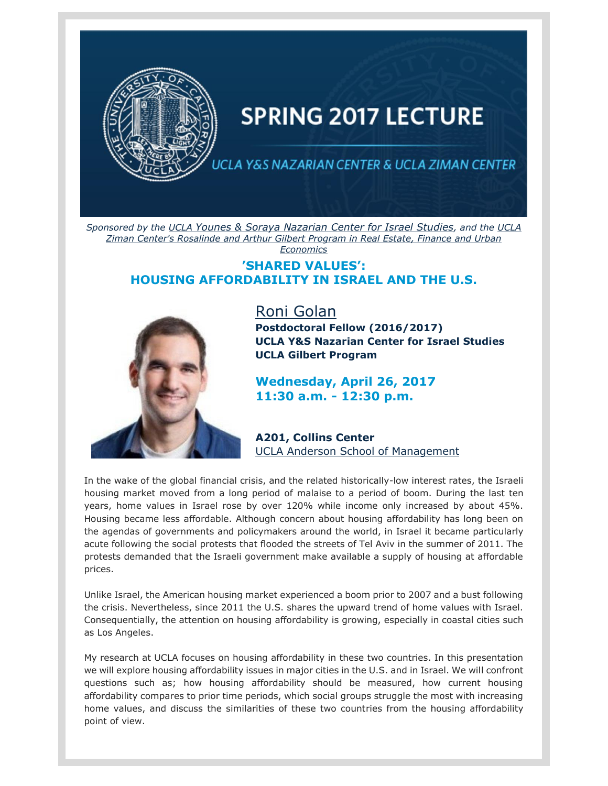

## **SPRING 2017 LECTURE**

ICLA Y&S NAZARIAN CENTER & UCLA ZIMAN CENTER

*Sponsored by the [UCLA](https://t.e2ma.net/click/aoa6q/25ia3j/ym5r3f) [Younes & Soraya Nazarian Center for Israel Studies](https://t.e2ma.net/click/aoa6q/25ia3j/ym5r3f), and the [UCLA](https://t.e2ma.net/click/aoa6q/25ia3j/u76r3f)  [Ziman Center's Rosalinde and Arthur Gilbert Program in Real Estate, Finance and Urban](https://t.e2ma.net/click/aoa6q/25ia3j/u76r3f)  [Economics](https://t.e2ma.net/click/aoa6q/25ia3j/u76r3f)*

## **'SHARED VALUES': HOUSING AFFORDABILITY IN ISRAEL AND THE U.S.**



[Roni Golan](https://t.e2ma.net/click/aoa6q/25ia3j/qs8r3f) **Postdoctoral Fellow (2016/2017) UCLA Y&S Nazarian Center for Israel Studies UCLA Gilbert Program**

**Wednesday, April 26, 2017 11:30 a.m. - 12:30 p.m.**

**A201, Collins Center** UCLA Anderson [School of Management](https://t.e2ma.net/click/aoa6q/25ia3j/6k9r3f)

In the wake of the global financial crisis, and the related historically-low interest rates, the Israeli housing market moved from a long period of malaise to a period of boom. During the last ten years, home values in Israel rose by over 120% while income only increased by about 45%. Housing became less affordable. Although concern about housing affordability has long been on the agendas of governments and policymakers around the world, in Israel it became particularly acute following the social protests that flooded the streets of Tel Aviv in the summer of 2011. The protests demanded that the Israeli government make available a supply of housing at affordable prices.

Unlike Israel, the American housing market experienced a boom prior to 2007 and a bust following the crisis. Nevertheless, since 2011 the U.S. shares the upward trend of home values with Israel. Consequentially, the attention on housing affordability is growing, especially in coastal cities such as Los Angeles.

My research at UCLA focuses on housing affordability in these two countries. In this presentation we will explore housing affordability issues in major cities in the U.S. and in Israel. We will confront questions such as; how housing affordability should be measured, how current housing affordability compares to prior time periods, which social groups struggle the most with increasing home values, and discuss the similarities of these two countries from the housing affordability point of view.